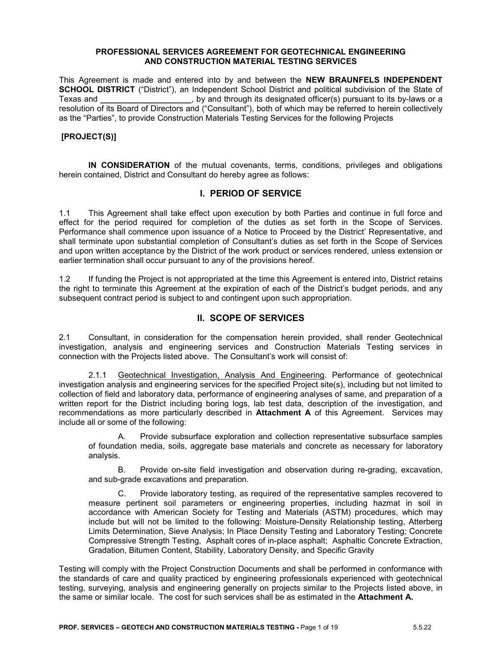#### **PROFESSIONAL SERVICES AGREEMENT FOR GEOTECHNICAL ENGINEERING AND CONSTRUCTION MATERIAL TESTING SERVICES**

This Agreement is made and entered into by and between the **NEW BRAUNFELS INDEPENDENT SCHOOL DISTRICT** ("District"), an Independent School District and political subdivision of the State of Texas and **\_\_\_\_\_\_\_\_\_\_\_\_\_\_\_\_\_\_\_\_**, by and through its designated officer(s) pursuant to its by-laws or a rexas and **International Consultant**, by and an eager the designment enteriesting presolution of its Board of Directors and ("Consultant"), both of which may be referred to herein collectively as the "Parties", to provide Construction Materials Testing Services for the following Projects

### **[PROJECT(S)]**

**IN CONSIDERATION** of the mutual covenants, terms, conditions, privileges and obligations herein contained, District and Consultant do hereby agree as follows:

### **I. PERIOD OF SERVICE**

1.1 This Agreement shall take effect upon execution by both Parties and continue in full force and effect for the period required for completion of the duties as set forth in the Scope of Services. Performance shall commence upon issuance of a Notice to Proceed by the District' Representative, and shall terminate upon substantial completion of Consultant's duties as set forth in the Scope of Services and upon written acceptance by the District of the work product or services rendered, unless extension or earlier termination shall occur pursuant to any of the provisions hereof.

1.2 If funding the Project is not appropriated at the time this Agreement is entered into, District retains the right to terminate this Agreement at the expiration of each of the District's budget periods, and any subsequent contract period is subject to and contingent upon such appropriation.

### **II. SCOPE OF SERVICES**

2.1 Consultant, in consideration for the compensation herein provided, shall render Geotechnical investigation, analysis and engineering services and Construction Materials Testing services in connection with the Projects listed above. The Consultant's work will consist of:

2.1.1 Geotechnical Investigation, Analysis And Engineering. Performance of geotechnical investigation analysis and engineering services for the specified Project site(s), including but not limited to collection of field and laboratory data, performance of engineering analyses of same, and preparation of a written report for the District including boring logs, lab test data, description of the investigation, and recommendations as more particularly described in **Attachment A** of this Agreement. Services may include all or some of the following:

A. Provide subsurface exploration and collection representative subsurface samples of foundation media, soils, aggregate base materials and concrete as necessary for laboratory analysis.

B. Provide on-site field investigation and observation during re-grading, excavation, and sub-grade excavations and preparation.

C. Provide laboratory testing, as required of the representative samples recovered to measure pertinent soil parameters or engineering properties, including hazmat in soil in accordance with American Society for Testing and Materials (ASTM) procedures, which may include but will not be limited to the following: Moisture-Density Relationship testing, Atterberg Limits Determination, Sieve Analysis; In Place Density Testing and Laboratory Testing; Concrete Compressive Strength Testing, Asphalt cores of in-place asphalt; Asphaltic Concrete Extraction, Gradation, Bitumen Content, Stability, Laboratory Density, and Specific Gravity

Testing will comply with the Project Construction Documents and shall be performed in conformance with the standards of care and quality practiced by engineering professionals experienced with geotechnical testing, surveying, analysis and engineering generally on projects similar to the Projects listed above, in the same or similar locale. The cost for such services shall be as estimated in the **Attachment A.**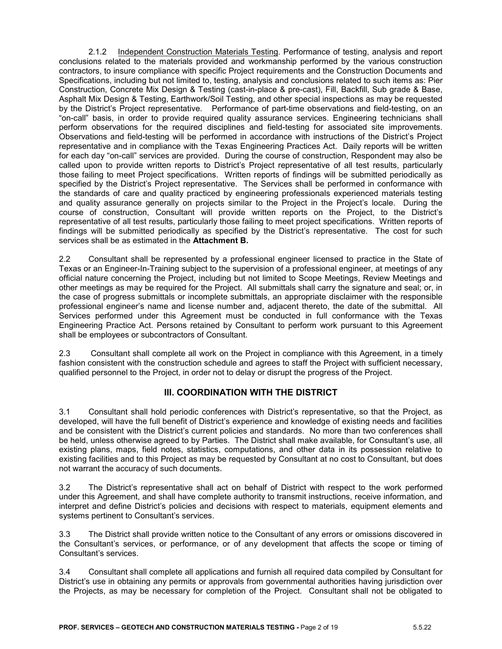2.1.2 Independent Construction Materials Testing. Performance of testing, analysis and report conclusions related to the materials provided and workmanship performed by the various construction contractors, to insure compliance with specific Project requirements and the Construction Documents and Specifications, including but not limited to, testing, analysis and conclusions related to such items as: Pier Construction, Concrete Mix Design & Testing (cast-in-place & pre-cast), Fill, Backfill, Sub grade & Base, Asphalt Mix Design & Testing, Earthwork/Soil Testing, and other special inspections as may be requested by the District's Project representative. Performance of part-time observations and field-testing, on an "on-call" basis, in order to provide required quality assurance services. Engineering technicians shall perform observations for the required disciplines and field-testing for associated site improvements. Observations and field-testing will be performed in accordance with instructions of the District's Project representative and in compliance with the Texas Engineering Practices Act. Daily reports will be written for each day "on-call" services are provided. During the course of construction, Respondent may also be called upon to provide written reports to District's Project representative of all test results, particularly those failing to meet Project specifications. Written reports of findings will be submitted periodically as specified by the District's Project representative. The Services shall be performed in conformance with the standards of care and quality practiced by engineering professionals experienced materials testing and quality assurance generally on projects similar to the Project in the Project's locale. During the course of construction, Consultant will provide written reports on the Project, to the District's representative of all test results, particularly those failing to meet project specifications. Written reports of findings will be submitted periodically as specified by the District's representative. The cost for such services shall be as estimated in the **Attachment B.**

2.2 Consultant shall be represented by a professional engineer licensed to practice in the State of Texas or an Engineer-In-Training subject to the supervision of a professional engineer, at meetings of any official nature concerning the Project, including but not limited to Scope Meetings, Review Meetings and other meetings as may be required for the Project. All submittals shall carry the signature and seal; or, in the case of progress submittals or incomplete submittals, an appropriate disclaimer with the responsible professional engineer's name and license number and, adjacent thereto, the date of the submittal. All Services performed under this Agreement must be conducted in full conformance with the Texas Engineering Practice Act. Persons retained by Consultant to perform work pursuant to this Agreement shall be employees or subcontractors of Consultant.

2.3 Consultant shall complete all work on the Project in compliance with this Agreement, in a timely fashion consistent with the construction schedule and agrees to staff the Project with sufficient necessary, qualified personnel to the Project, in order not to delay or disrupt the progress of the Project.

# **III. COORDINATION WITH THE DISTRICT**

3.1 Consultant shall hold periodic conferences with District's representative, so that the Project, as developed, will have the full benefit of District's experience and knowledge of existing needs and facilities and be consistent with the District's current policies and standards. No more than two conferences shall be held, unless otherwise agreed to by Parties. The District shall make available, for Consultant's use, all existing plans, maps, field notes, statistics, computations, and other data in its possession relative to existing facilities and to this Project as may be requested by Consultant at no cost to Consultant, but does not warrant the accuracy of such documents.

3.2 The District's representative shall act on behalf of District with respect to the work performed under this Agreement, and shall have complete authority to transmit instructions, receive information, and interpret and define District's policies and decisions with respect to materials, equipment elements and systems pertinent to Consultant's services.

3.3 The District shall provide written notice to the Consultant of any errors or omissions discovered in the Consultant's services, or performance, or of any development that affects the scope or timing of Consultant's services.

3.4 Consultant shall complete all applications and furnish all required data compiled by Consultant for District's use in obtaining any permits or approvals from governmental authorities having jurisdiction over the Projects, as may be necessary for completion of the Project. Consultant shall not be obligated to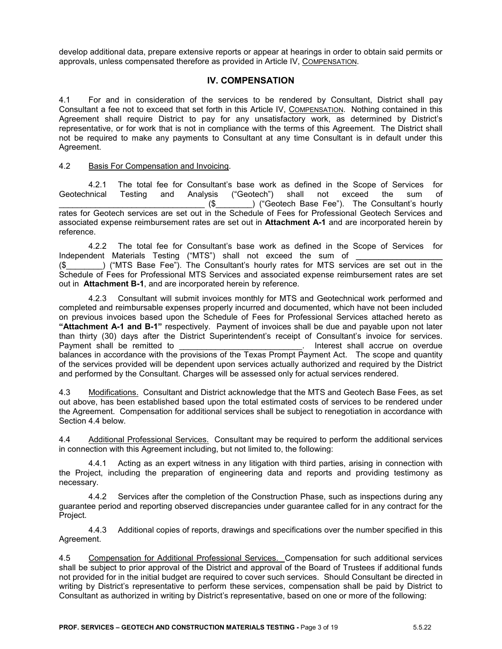develop additional data, prepare extensive reports or appear at hearings in order to obtain said permits or approvals, unless compensated therefore as provided in Article IV, COMPENSATION.

## **IV. COMPENSATION**

4.1 For and in consideration of the services to be rendered by Consultant, District shall pay Consultant a fee not to exceed that set forth in this Article IV, COMPENSATION. Nothing contained in this Agreement shall require District to pay for any unsatisfactory work, as determined by District's representative, or for work that is not in compliance with the terms of this Agreement. The District shall not be required to make any payments to Consultant at any time Consultant is in default under this Agreement.

#### 4.2 Basis For Compensation and Invoicing.

4.2.1 The total fee for Consultant's base work as defined in the Scope of Services for<br>
unical Testing and Analysis ("Geotech") shall not exceed the sum of Geotechnical Testing and Analysis ("Geotech") shall not exceed the sum of (\$ ) ("Geotech Base Fee"). The Consultant's hourly rates for Geotech services are set out in the Schedule of Fees for Professional Geotech Services and associated expense reimbursement rates are set out in **Attachment A-1** and are incorporated herein by reference.

4.2.2 The total fee for Consultant's base work as defined in the Scope of Services for Independent Materials Testing ("MTS") shall not exceed the sum of \_\_\_\_\_\_\_\_\_\_\_\_\_\_\_\_

(\$\_\_\_\_\_\_\_\_) ("MTS Base Fee"). The Consultant's hourly rates for MTS services are set out in the Schedule of Fees for Professional MTS Services and associated expense reimbursement rates are set out in **Attachment B-1**, and are incorporated herein by reference.

4.2.3 Consultant will submit invoices monthly for MTS and Geotechnical work performed and completed and reimbursable expenses properly incurred and documented, which have not been included on previous invoices based upon the Schedule of Fees for Professional Services attached hereto as **"Attachment A-1 and B-1"** respectively. Payment of invoices shall be due and payable upon not later than thirty (30) days after the District Superintendent's receipt of Consultant's invoice for services. Payment shall be remitted to example and the state of the state of the Payment shall accrue on overdue balances in accordance with the provisions of the Texas Prompt Payment Act. The scope and quantity of the services provided will be dependent upon services actually authorized and required by the District and performed by the Consultant. Charges will be assessed only for actual services rendered.

4.3 Modifications. Consultant and District acknowledge that the MTS and Geotech Base Fees, as set out above, has been established based upon the total estimated costs of services to be rendered under the Agreement. Compensation for additional services shall be subject to renegotiation in accordance with Section 4.4 below.

4.4 Additional Professional Services. Consultant may be required to perform the additional services in connection with this Agreement including, but not limited to, the following:

4.4.1 Acting as an expert witness in any litigation with third parties, arising in connection with the Project, including the preparation of engineering data and reports and providing testimony as necessary.

4.4.2 Services after the completion of the Construction Phase, such as inspections during any guarantee period and reporting observed discrepancies under guarantee called for in any contract for the Project.

4.4.3 Additional copies of reports, drawings and specifications over the number specified in this Agreement.

4.5 Compensation for Additional Professional Services. Compensation for such additional services shall be subject to prior approval of the District and approval of the Board of Trustees if additional funds not provided for in the initial budget are required to cover such services. Should Consultant be directed in writing by District's representative to perform these services, compensation shall be paid by District to Consultant as authorized in writing by District's representative, based on one or more of the following: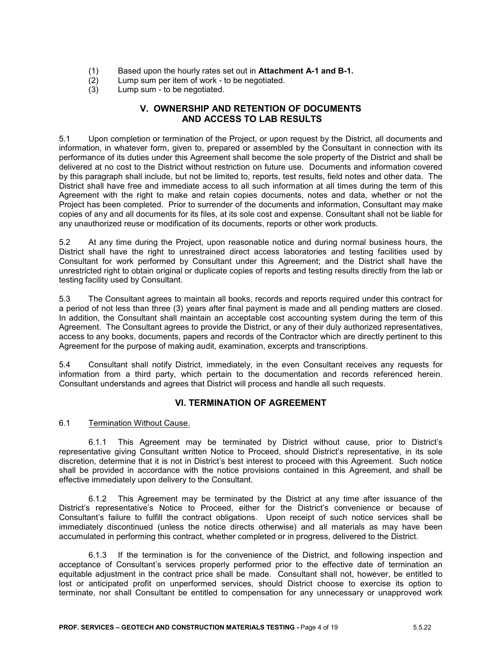- (1) Based upon the hourly rates set out in **Attachment A-1 and B-1.**
- (2) Lump sum per item of work to be negotiated.<br>(3) Lump sum to be negotiated.
- Lump sum to be negotiated.

# **V. OWNERSHIP AND RETENTION OF DOCUMENTS AND ACCESS TO LAB RESULTS**

5.1 Upon completion or termination of the Project, or upon request by the District, all documents and information, in whatever form, given to, prepared or assembled by the Consultant in connection with its performance of its duties under this Agreement shall become the sole property of the District and shall be delivered at no cost to the District without restriction on future use. Documents and information covered by this paragraph shall include, but not be limited to, reports, test results, field notes and other data. The District shall have free and immediate access to all such information at all times during the term of this Agreement with the right to make and retain copies documents, notes and data, whether or not the Project has been completed. Prior to surrender of the documents and information, Consultant may make copies of any and all documents for its files, at its sole cost and expense. Consultant shall not be liable for any unauthorized reuse or modification of its documents, reports or other work products.

5.2 At any time during the Project, upon reasonable notice and during normal business hours, the District shall have the right to unrestrained direct access laboratories and testing facilities used by Consultant for work performed by Consultant under this Agreement; and the District shall have the unrestricted right to obtain original or duplicate copies of reports and testing results directly from the lab or testing facility used by Consultant.

5.3 The Consultant agrees to maintain all books, records and reports required under this contract for a period of not less than three (3) years after final payment is made and all pending matters are closed. In addition, the Consultant shall maintain an acceptable cost accounting system during the term of this Agreement. The Consultant agrees to provide the District, or any of their duly authorized representatives, access to any books, documents, papers and records of the Contractor which are directly pertinent to this Agreement for the purpose of making audit, examination, excerpts and transcriptions.

5.4 Consultant shall notify District, immediately, in the even Consultant receives any requests for information from a third party, which pertain to the documentation and records referenced herein. Consultant understands and agrees that District will process and handle all such requests.

# **VI. TERMINATION OF AGREEMENT**

### 6.1 Termination Without Cause.

6.1.1 This Agreement may be terminated by District without cause, prior to District's representative giving Consultant written Notice to Proceed, should District's representative, in its sole discretion, determine that it is not in District's best interest to proceed with this Agreement. Such notice shall be provided in accordance with the notice provisions contained in this Agreement, and shall be effective immediately upon delivery to the Consultant.

6.1.2 This Agreement may be terminated by the District at any time after issuance of the District's representative's Notice to Proceed, either for the District's convenience or because of Consultant's failure to fulfill the contract obligations. Upon receipt of such notice services shall be immediately discontinued (unless the notice directs otherwise) and all materials as may have been accumulated in performing this contract, whether completed or in progress, delivered to the District.

6.1.3 If the termination is for the convenience of the District, and following inspection and acceptance of Consultant's services properly performed prior to the effective date of termination an equitable adjustment in the contract price shall be made. Consultant shall not, however, be entitled to lost or anticipated profit on unperformed services, should District choose to exercise its option to terminate, nor shall Consultant be entitled to compensation for any unnecessary or unapproved work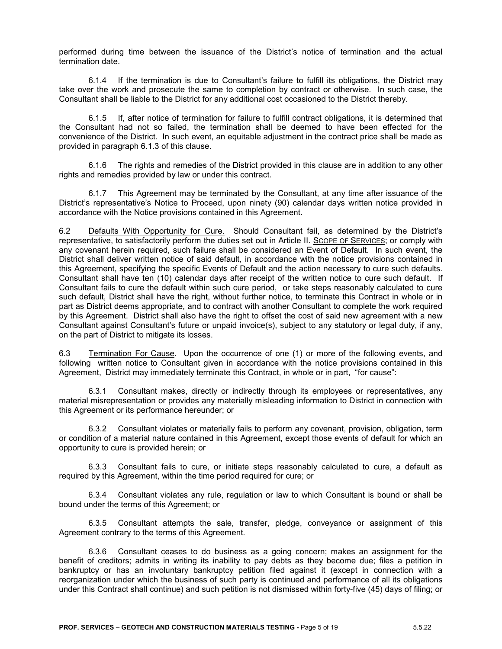performed during time between the issuance of the District's notice of termination and the actual termination date.

6.1.4 If the termination is due to Consultant's failure to fulfill its obligations, the District may take over the work and prosecute the same to completion by contract or otherwise. In such case, the Consultant shall be liable to the District for any additional cost occasioned to the District thereby.

6.1.5 If, after notice of termination for failure to fulfill contract obligations, it is determined that the Consultant had not so failed, the termination shall be deemed to have been effected for the convenience of the District. In such event, an equitable adjustment in the contract price shall be made as provided in paragraph 6.1.3 of this clause.

6.1.6 The rights and remedies of the District provided in this clause are in addition to any other rights and remedies provided by law or under this contract.

6.1.7 This Agreement may be terminated by the Consultant, at any time after issuance of the District's representative's Notice to Proceed, upon ninety (90) calendar days written notice provided in accordance with the Notice provisions contained in this Agreement.

6.2 Defaults With Opportunity for Cure. Should Consultant fail, as determined by the District's representative, to satisfactorily perform the duties set out in Article II. SCOPE OF SERVICES; or comply with any covenant herein required, such failure shall be considered an Event of Default. In such event, the District shall deliver written notice of said default, in accordance with the notice provisions contained in this Agreement, specifying the specific Events of Default and the action necessary to cure such defaults. Consultant shall have ten (10) calendar days after receipt of the written notice to cure such default. If Consultant fails to cure the default within such cure period, or take steps reasonably calculated to cure such default, District shall have the right, without further notice, to terminate this Contract in whole or in part as District deems appropriate, and to contract with another Consultant to complete the work required by this Agreement. District shall also have the right to offset the cost of said new agreement with a new Consultant against Consultant's future or unpaid invoice(s), subject to any statutory or legal duty, if any, on the part of District to mitigate its losses.

6.3 Termination For Cause. Upon the occurrence of one (1) or more of the following events, and following written notice to Consultant given in accordance with the notice provisions contained in this Agreement, District may immediately terminate this Contract, in whole or in part, "for cause":

6.3.1 Consultant makes, directly or indirectly through its employees or representatives, any material misrepresentation or provides any materially misleading information to District in connection with this Agreement or its performance hereunder; or

6.3.2 Consultant violates or materially fails to perform any covenant, provision, obligation, term or condition of a material nature contained in this Agreement, except those events of default for which an opportunity to cure is provided herein; or

6.3.3 Consultant fails to cure, or initiate steps reasonably calculated to cure, a default as required by this Agreement, within the time period required for cure; or

6.3.4 Consultant violates any rule, regulation or law to which Consultant is bound or shall be bound under the terms of this Agreement; or

6.3.5 Consultant attempts the sale, transfer, pledge, conveyance or assignment of this Agreement contrary to the terms of this Agreement.

6.3.6 Consultant ceases to do business as a going concern; makes an assignment for the benefit of creditors; admits in writing its inability to pay debts as they become due; files a petition in bankruptcy or has an involuntary bankruptcy petition filed against it (except in connection with a reorganization under which the business of such party is continued and performance of all its obligations under this Contract shall continue) and such petition is not dismissed within forty-five (45) days of filing; or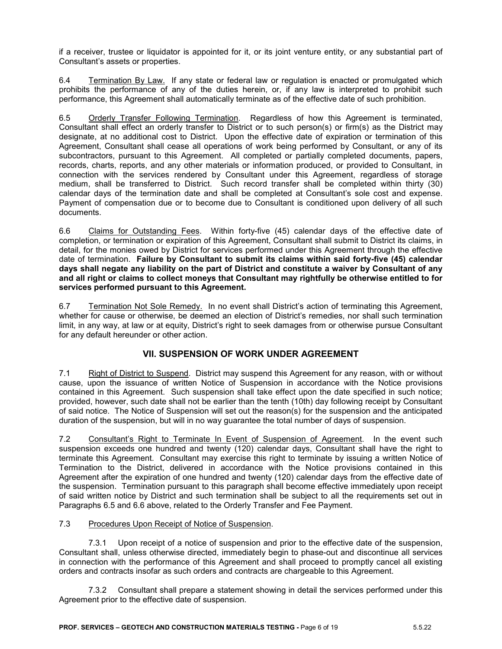if a receiver, trustee or liquidator is appointed for it, or its joint venture entity, or any substantial part of Consultant's assets or properties.

6.4 Termination By Law. If any state or federal law or regulation is enacted or promulgated which prohibits the performance of any of the duties herein, or, if any law is interpreted to prohibit such performance, this Agreement shall automatically terminate as of the effective date of such prohibition.

6.5 Orderly Transfer Following Termination. Regardless of how this Agreement is terminated, Consultant shall effect an orderly transfer to District or to such person(s) or firm(s) as the District may designate, at no additional cost to District. Upon the effective date of expiration or termination of this Agreement, Consultant shall cease all operations of work being performed by Consultant, or any of its subcontractors, pursuant to this Agreement. All completed or partially completed documents, papers, records, charts, reports, and any other materials or information produced, or provided to Consultant, in connection with the services rendered by Consultant under this Agreement, regardless of storage medium, shall be transferred to District. Such record transfer shall be completed within thirty (30) calendar days of the termination date and shall be completed at Consultant's sole cost and expense. Payment of compensation due or to become due to Consultant is conditioned upon delivery of all such documents.

6.6 Claims for Outstanding Fees. Within forty-five (45) calendar days of the effective date of completion, or termination or expiration of this Agreement, Consultant shall submit to District its claims, in detail, for the monies owed by District for services performed under this Agreement through the effective date of termination. **Failure by Consultant to submit its claims within said forty-five (45) calendar days shall negate any liability on the part of District and constitute a waiver by Consultant of any and all right or claims to collect moneys that Consultant may rightfully be otherwise entitled to for services performed pursuant to this Agreement.**

6.7 Termination Not Sole Remedy.In no event shall District's action of terminating this Agreement, whether for cause or otherwise, be deemed an election of District's remedies, nor shall such termination limit, in any way, at law or at equity, District's right to seek damages from or otherwise pursue Consultant for any default hereunder or other action.

# **VII. SUSPENSION OF WORK UNDER AGREEMENT**

7.1 Right of District to Suspend. District may suspend this Agreement for any reason, with or without cause, upon the issuance of written Notice of Suspension in accordance with the Notice provisions contained in this Agreement. Such suspension shall take effect upon the date specified in such notice; provided, however, such date shall not be earlier than the tenth (10th) day following receipt by Consultant of said notice. The Notice of Suspension will set out the reason(s) for the suspension and the anticipated duration of the suspension, but will in no way guarantee the total number of days of suspension.

7.2 Consultant's Right to Terminate In Event of Suspension of Agreement. In the event such suspension exceeds one hundred and twenty (120) calendar days, Consultant shall have the right to terminate this Agreement. Consultant may exercise this right to terminate by issuing a written Notice of Termination to the District, delivered in accordance with the Notice provisions contained in this Agreement after the expiration of one hundred and twenty (120) calendar days from the effective date of the suspension. Termination pursuant to this paragraph shall become effective immediately upon receipt of said written notice by District and such termination shall be subject to all the requirements set out in Paragraphs 6.5 and 6.6 above, related to the Orderly Transfer and Fee Payment.

### 7.3 Procedures Upon Receipt of Notice of Suspension.

7.3.1 Upon receipt of a notice of suspension and prior to the effective date of the suspension, Consultant shall, unless otherwise directed, immediately begin to phase-out and discontinue all services in connection with the performance of this Agreement and shall proceed to promptly cancel all existing orders and contracts insofar as such orders and contracts are chargeable to this Agreement.

7.3.2 Consultant shall prepare a statement showing in detail the services performed under this Agreement prior to the effective date of suspension.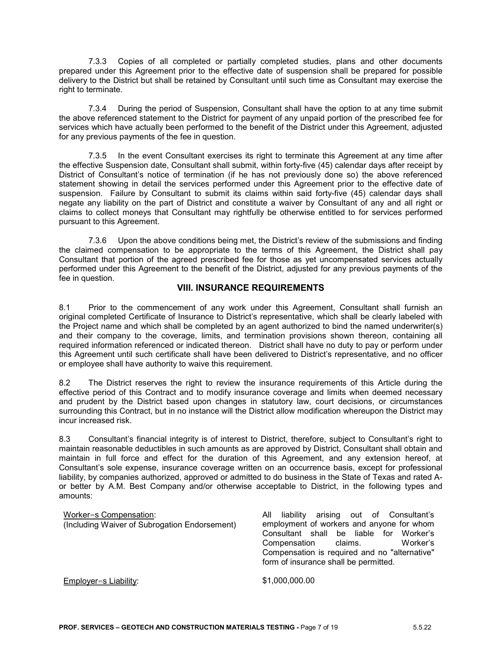7.3.3 Copies of all completed or partially completed studies, plans and other documents prepared under this Agreement prior to the effective date of suspension shall be prepared for possible delivery to the District but shall be retained by Consultant until such time as Consultant may exercise the right to terminate.

7.3.4 During the period of Suspension, Consultant shall have the option to at any time submit the above referenced statement to the District for payment of any unpaid portion of the prescribed fee for services which have actually been performed to the benefit of the District under this Agreement, adjusted for any previous payments of the fee in question.

7.3.5 In the event Consultant exercises its right to terminate this Agreement at any time after the effective Suspension date, Consultant shall submit, within forty-five (45) calendar days after receipt by District of Consultant's notice of termination (if he has not previously done so) the above referenced statement showing in detail the services performed under this Agreement prior to the effective date of suspension. Failure by Consultant to submit its claims within said forty-five (45) calendar days shall negate any liability on the part of District and constitute a waiver by Consultant of any and all right or claims to collect moneys that Consultant may rightfully be otherwise entitled to for services performed pursuant to this Agreement.

7.3.6 Upon the above conditions being met, the District's review of the submissions and finding the claimed compensation to be appropriate to the terms of this Agreement, the District shall pay Consultant that portion of the agreed prescribed fee for those as yet uncompensated services actually performed under this Agreement to the benefit of the District, adjusted for any previous payments of the fee in question.

### **VIII. INSURANCE REQUIREMENTS**

8.1 Prior to the commencement of any work under this Agreement, Consultant shall furnish an original completed Certificate of Insurance to District's representative, which shall be clearly labeled with the Project name and which shall be completed by an agent authorized to bind the named underwriter(s) and their company to the coverage, limits, and termination provisions shown thereon, containing all required information referenced or indicated thereon. District shall have no duty to pay or perform under this Agreement until such certificate shall have been delivered to District's representative, and no officer or employee shall have authority to waive this requirement.

8.2 The District reserves the right to review the insurance requirements of this Article during the effective period of this Contract and to modify insurance coverage and limits when deemed necessary and prudent by the District based upon changes in statutory law, court decisions, or circumstances surrounding this Contract, but in no instance will the District allow modification whereupon the District may incur increased risk.

8.3 Consultant's financial integrity is of interest to District, therefore, subject to Consultant's right to maintain reasonable deductibles in such amounts as are approved by District, Consultant shall obtain and maintain in full force and effect for the duration of this Agreement, and any extension hereof, at Consultant's sole expense, insurance coverage written on an occurrence basis, except for professional liability, by companies authorized, approved or admitted to do business in the State of Texas and rated Aor better by A.M. Best Company and/or otherwise acceptable to District, in the following types and amounts:

#### Worker=s Compensation: (Including Waiver of Subrogation Endorsement) All liability arising out of Consultant's employment of workers and anyone for whom Consultant shall be liable for Worker's Compensation claims. Worker's Compensation is required and no "alternative" form of insurance shall be permitted. Employer=s Liability: \$1,000,000.00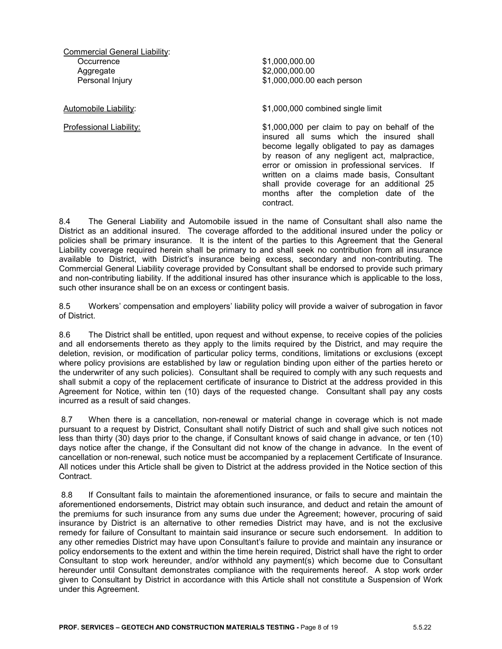Commercial General Liability: **Occurrence** Aggregate Personal Injury

\$1,000,000.00 \$2,000,000.00 \$1,000,000.00 each person

Automobile Liability: \$1,000,000 combined single limit

Professional Liability: \$1,000,000 per claim to pay on behalf of the insured all sums which the insured shall become legally obligated to pay as damages by reason of any negligent act, malpractice, error or omission in professional services. If written on a claims made basis, Consultant shall provide coverage for an additional 25 months after the completion date of the contract.

8.4 The General Liability and Automobile issued in the name of Consultant shall also name the District as an additional insured. The coverage afforded to the additional insured under the policy or policies shall be primary insurance. It is the intent of the parties to this Agreement that the General Liability coverage required herein shall be primary to and shall seek no contribution from all insurance available to District, with District's insurance being excess, secondary and non-contributing. The Commercial General Liability coverage provided by Consultant shall be endorsed to provide such primary and non-contributing liability. If the additional insured has other insurance which is applicable to the loss, such other insurance shall be on an excess or contingent basis.

8.5 Workers' compensation and employers' liability policy will provide a waiver of subrogation in favor of District.

8.6 The District shall be entitled, upon request and without expense, to receive copies of the policies and all endorsements thereto as they apply to the limits required by the District, and may require the deletion, revision, or modification of particular policy terms, conditions, limitations or exclusions (except where policy provisions are established by law or regulation binding upon either of the parties hereto or the underwriter of any such policies). Consultant shall be required to comply with any such requests and shall submit a copy of the replacement certificate of insurance to District at the address provided in this Agreement for Notice, within ten (10) days of the requested change. Consultant shall pay any costs incurred as a result of said changes.

8.7 When there is a cancellation, non-renewal or material change in coverage which is not made pursuant to a request by District, Consultant shall notify District of such and shall give such notices not less than thirty (30) days prior to the change, if Consultant knows of said change in advance, or ten (10) days notice after the change, if the Consultant did not know of the change in advance. In the event of cancellation or non-renewal, such notice must be accompanied by a replacement Certificate of Insurance. All notices under this Article shall be given to District at the address provided in the Notice section of this **Contract** 

8.8 If Consultant fails to maintain the aforementioned insurance, or fails to secure and maintain the aforementioned endorsements, District may obtain such insurance, and deduct and retain the amount of the premiums for such insurance from any sums due under the Agreement; however, procuring of said insurance by District is an alternative to other remedies District may have, and is not the exclusive remedy for failure of Consultant to maintain said insurance or secure such endorsement. In addition to any other remedies District may have upon Consultant's failure to provide and maintain any insurance or policy endorsements to the extent and within the time herein required, District shall have the right to order Consultant to stop work hereunder, and/or withhold any payment(s) which become due to Consultant hereunder until Consultant demonstrates compliance with the requirements hereof. A stop work order given to Consultant by District in accordance with this Article shall not constitute a Suspension of Work under this Agreement.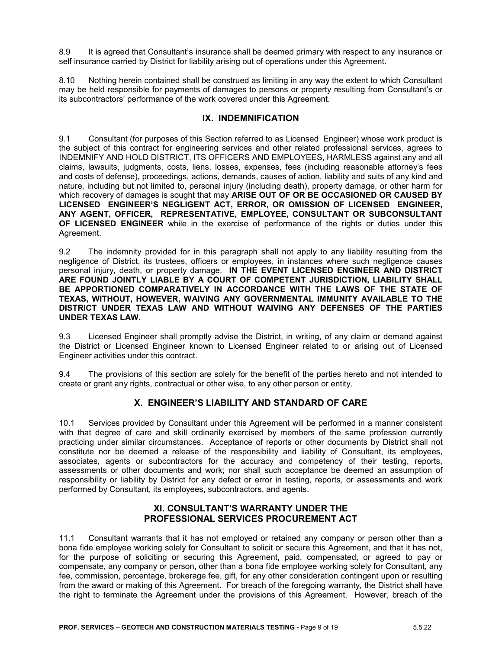8.9 It is agreed that Consultant's insurance shall be deemed primary with respect to any insurance or self insurance carried by District for liability arising out of operations under this Agreement.

8.10 Nothing herein contained shall be construed as limiting in any way the extent to which Consultant may be held responsible for payments of damages to persons or property resulting from Consultant's or its subcontractors' performance of the work covered under this Agreement.

## **IX. INDEMNIFICATION**

9.1 Consultant (for purposes of this Section referred to as Licensed Engineer) whose work product is the subject of this contract for engineering services and other related professional services, agrees to INDEMNIFY AND HOLD DISTRICT, ITS OFFICERS AND EMPLOYEES, HARMLESS against any and all claims, lawsuits, judgments, costs, liens, losses, expenses, fees (including reasonable attorney's fees and costs of defense), proceedings, actions, demands, causes of action, liability and suits of any kind and nature, including but not limited to, personal injury (including death), property damage, or other harm for which recovery of damages is sought that may **ARISE OUT OF OR BE OCCASIONED OR CAUSED BY LICENSED ENGINEER'S NEGLIGENT ACT, ERROR, OR OMISSION OF LICENSED ENGINEER, ANY AGENT, OFFICER, REPRESENTATIVE, EMPLOYEE, CONSULTANT OR SUBCONSULTANT OF LICENSED ENGINEER** while in the exercise of performance of the rights or duties under this Agreement.

9.2 The indemnity provided for in this paragraph shall not apply to any liability resulting from the negligence of District, its trustees, officers or employees, in instances where such negligence causes personal injury, death, or property damage. **IN THE EVENT LICENSED ENGINEER AND DISTRICT ARE FOUND JOINTLY LIABLE BY A COURT OF COMPETENT JURISDICTION, LIABILITY SHALL BE APPORTIONED COMPARATIVELY IN ACCORDANCE WITH THE LAWS OF THE STATE OF TEXAS, WITHOUT, HOWEVER, WAIVING ANY GOVERNMENTAL IMMUNITY AVAILABLE TO THE DISTRICT UNDER TEXAS LAW AND WITHOUT WAIVING ANY DEFENSES OF THE PARTIES UNDER TEXAS LAW.**

9.3 Licensed Engineer shall promptly advise the District, in writing, of any claim or demand against the District or Licensed Engineer known to Licensed Engineer related to or arising out of Licensed Engineer activities under this contract.

9.4 The provisions of this section are solely for the benefit of the parties hereto and not intended to create or grant any rights, contractual or other wise, to any other person or entity.

# **X. ENGINEER'S LIABILITY AND STANDARD OF CARE**

10.1 Services provided by Consultant under this Agreement will be performed in a manner consistent with that degree of care and skill ordinarily exercised by members of the same profession currently practicing under similar circumstances. Acceptance of reports or other documents by District shall not constitute nor be deemed a release of the responsibility and liability of Consultant, its employees, associates, agents or subcontractors for the accuracy and competency of their testing, reports, assessments or other documents and work; nor shall such acceptance be deemed an assumption of responsibility or liability by District for any defect or error in testing, reports, or assessments and work performed by Consultant, its employees, subcontractors, and agents.

### **XI. CONSULTANT'S WARRANTY UNDER THE PROFESSIONAL SERVICES PROCUREMENT ACT**

11.1 Consultant warrants that it has not employed or retained any company or person other than a bona fide employee working solely for Consultant to solicit or secure this Agreement, and that it has not, for the purpose of soliciting or securing this Agreement, paid, compensated, or agreed to pay or compensate, any company or person, other than a bona fide employee working solely for Consultant, any fee, commission, percentage, brokerage fee, gift, for any other consideration contingent upon or resulting from the award or making of this Agreement. For breach of the foregoing warranty, the District shall have the right to terminate the Agreement under the provisions of this Agreement. However, breach of the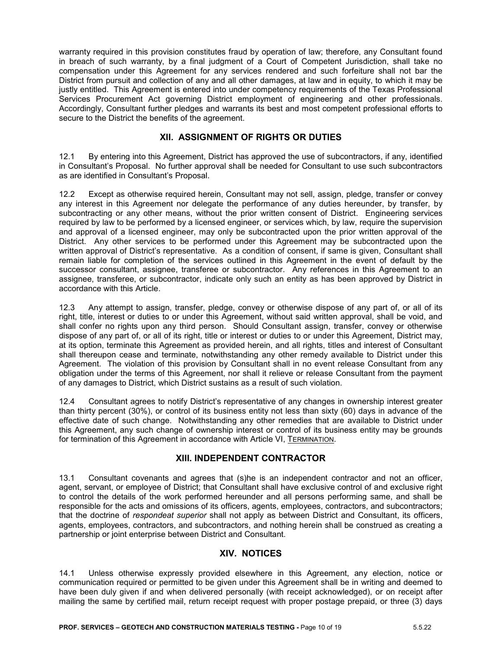warranty required in this provision constitutes fraud by operation of law; therefore, any Consultant found in breach of such warranty, by a final judgment of a Court of Competent Jurisdiction, shall take no compensation under this Agreement for any services rendered and such forfeiture shall not bar the District from pursuit and collection of any and all other damages, at law and in equity, to which it may be justly entitled. This Agreement is entered into under competency requirements of the Texas Professional Services Procurement Act governing District employment of engineering and other professionals. Accordingly, Consultant further pledges and warrants its best and most competent professional efforts to secure to the District the benefits of the agreement.

## **XII. ASSIGNMENT OF RIGHTS OR DUTIES**

12.1 By entering into this Agreement, District has approved the use of subcontractors, if any, identified in Consultant's Proposal. No further approval shall be needed for Consultant to use such subcontractors as are identified in Consultant's Proposal.

12.2 Except as otherwise required herein, Consultant may not sell, assign, pledge, transfer or convey any interest in this Agreement nor delegate the performance of any duties hereunder, by transfer, by subcontracting or any other means, without the prior written consent of District. Engineering services required by law to be performed by a licensed engineer, or services which, by law, require the supervision and approval of a licensed engineer, may only be subcontracted upon the prior written approval of the District. Any other services to be performed under this Agreement may be subcontracted upon the written approval of District's representative. As a condition of consent, if same is given, Consultant shall remain liable for completion of the services outlined in this Agreement in the event of default by the successor consultant, assignee, transferee or subcontractor. Any references in this Agreement to an assignee, transferee, or subcontractor, indicate only such an entity as has been approved by District in accordance with this Article.

12.3 Any attempt to assign, transfer, pledge, convey or otherwise dispose of any part of, or all of its right, title, interest or duties to or under this Agreement, without said written approval, shall be void, and shall confer no rights upon any third person. Should Consultant assign, transfer, convey or otherwise dispose of any part of, or all of its right, title or interest or duties to or under this Agreement, District may, at its option, terminate this Agreement as provided herein, and all rights, titles and interest of Consultant shall thereupon cease and terminate, notwithstanding any other remedy available to District under this Agreement. The violation of this provision by Consultant shall in no event release Consultant from any obligation under the terms of this Agreement, nor shall it relieve or release Consultant from the payment of any damages to District, which District sustains as a result of such violation.

12.4 Consultant agrees to notify District's representative of any changes in ownership interest greater than thirty percent (30%), or control of its business entity not less than sixty (60) days in advance of the effective date of such change. Notwithstanding any other remedies that are available to District under this Agreement, any such change of ownership interest or control of its business entity may be grounds for termination of this Agreement in accordance with Article VI, TERMINATION.

### **XIII. INDEPENDENT CONTRACTOR**

13.1 Consultant covenants and agrees that (s)he is an independent contractor and not an officer, agent, servant, or employee of District; that Consultant shall have exclusive control of and exclusive right to control the details of the work performed hereunder and all persons performing same, and shall be responsible for the acts and omissions of its officers, agents, employees, contractors, and subcontractors; that the doctrine of *respondeat superior* shall not apply as between District and Consultant, its officers, agents, employees, contractors, and subcontractors, and nothing herein shall be construed as creating a partnership or joint enterprise between District and Consultant.

### **XIV. NOTICES**

14.1 Unless otherwise expressly provided elsewhere in this Agreement, any election, notice or communication required or permitted to be given under this Agreement shall be in writing and deemed to have been duly given if and when delivered personally (with receipt acknowledged), or on receipt after mailing the same by certified mail, return receipt request with proper postage prepaid, or three (3) days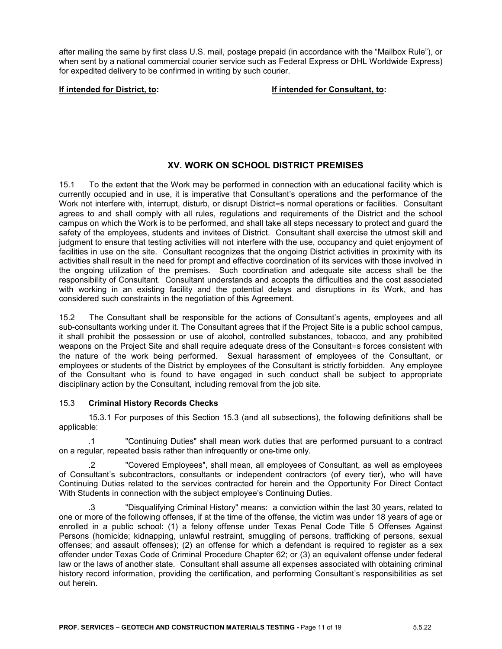after mailing the same by first class U.S. mail, postage prepaid (in accordance with the "Mailbox Rule"), or when sent by a national commercial courier service such as Federal Express or DHL Worldwide Express) for expedited delivery to be confirmed in writing by such courier.

**If intended for District, to: If intended for Consultant, to:**

# **XV. WORK ON SCHOOL DISTRICT PREMISES**

15.1 To the extent that the Work may be performed in connection with an educational facility which is currently occupied and in use, it is imperative that Consultant's operations and the performance of the Work not interfere with, interrupt, disturb, or disrupt District=s normal operations or facilities. Consultant agrees to and shall comply with all rules, regulations and requirements of the District and the school campus on which the Work is to be performed, and shall take all steps necessary to protect and guard the safety of the employees, students and invitees of District. Consultant shall exercise the utmost skill and judgment to ensure that testing activities will not interfere with the use, occupancy and quiet enjoyment of facilities in use on the site. Consultant recognizes that the ongoing District activities in proximity with its activities shall result in the need for prompt and effective coordination of its services with those involved in the ongoing utilization of the premises. Such coordination and adequate site access shall be the responsibility of Consultant. Consultant understands and accepts the difficulties and the cost associated with working in an existing facility and the potential delays and disruptions in its Work, and has considered such constraints in the negotiation of this Agreement.

15.2 The Consultant shall be responsible for the actions of Consultant's agents, employees and all sub-consultants working under it. The Consultant agrees that if the Project Site is a public school campus, it shall prohibit the possession or use of alcohol, controlled substances, tobacco, and any prohibited weapons on the Project Site and shall require adequate dress of the Consultant=s forces consistent with the nature of the work being performed. Sexual harassment of employees of the Consultant, or employees or students of the District by employees of the Consultant is strictly forbidden. Any employee of the Consultant who is found to have engaged in such conduct shall be subject to appropriate disciplinary action by the Consultant, including removal from the job site.

#### 15.3 **Criminal History Records Checks**

15.3.1 For purposes of this Section 15.3 (and all subsections), the following definitions shall be applicable:

.1 "Continuing Duties" shall mean work duties that are performed pursuant to a contract on a regular, repeated basis rather than infrequently or one-time only.

.2 "Covered Employees", shall mean, all employees of Consultant, as well as employees of Consultant's subcontractors, consultants or independent contractors (of every tier), who will have Continuing Duties related to the services contracted for herein and the Opportunity For Direct Contact With Students in connection with the subject employee's Continuing Duties.

.3 "Disqualifying Criminal History" means: a conviction within the last 30 years, related to one or more of the following offenses, if at the time of the offense, the victim was under 18 years of age or enrolled in a public school: (1) a felony offense under Texas Penal Code Title 5 Offenses Against Persons (homicide; kidnapping, unlawful restraint, smuggling of persons, trafficking of persons, sexual offenses; and assault offenses); (2) an offense for which a defendant is required to register as a sex offender under Texas Code of Criminal Procedure Chapter 62; or (3) an equivalent offense under federal law or the laws of another state. Consultant shall assume all expenses associated with obtaining criminal history record information, providing the certification, and performing Consultant's responsibilities as set out herein.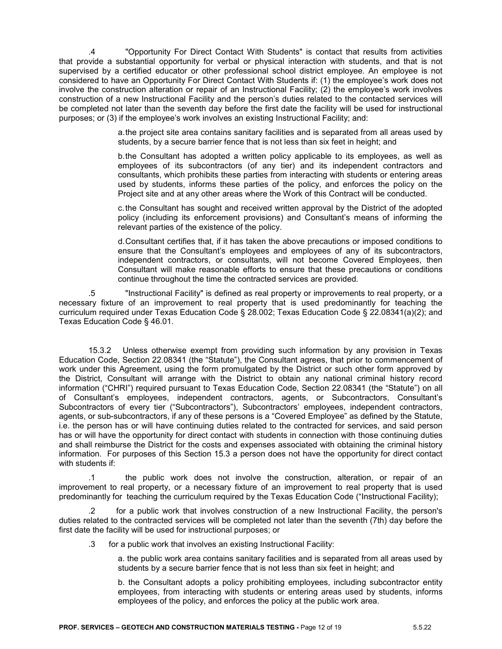.4 "Opportunity For Direct Contact With Students" is contact that results from activities that provide a substantial opportunity for verbal or physical interaction with students, and that is not supervised by a certified educator or other professional school district employee. An employee is not considered to have an Opportunity For Direct Contact With Students if: (1) the employee's work does not involve the construction alteration or repair of an Instructional Facility; (2) the employee's work involves construction of a new Instructional Facility and the person's duties related to the contacted services will be completed not later than the seventh day before the first date the facility will be used for instructional purposes; or (3) if the employee's work involves an existing Instructional Facility; and:

> a.the project site area contains sanitary facilities and is separated from all areas used by students, by a secure barrier fence that is not less than six feet in height; and

> b.the Consultant has adopted a written policy applicable to its employees, as well as employees of its subcontractors (of any tier) and its independent contractors and consultants, which prohibits these parties from interacting with students or entering areas used by students, informs these parties of the policy, and enforces the policy on the Project site and at any other areas where the Work of this Contract will be conducted.

> c.the Consultant has sought and received written approval by the District of the adopted policy (including its enforcement provisions) and Consultant's means of informing the relevant parties of the existence of the policy.

> d.Consultant certifies that, if it has taken the above precautions or imposed conditions to ensure that the Consultant's employees and employees of any of its subcontractors, independent contractors, or consultants, will not become Covered Employees, then Consultant will make reasonable efforts to ensure that these precautions or conditions continue throughout the time the contracted services are provided.

.5 "Instructional Facility" is defined as real property or improvements to real property, or a necessary fixture of an improvement to real property that is used predominantly for teaching the curriculum required under Texas Education Code § 28.002; Texas Education Code § 22.08341(a)(2); and Texas Education Code § 46.01.

15.3.2 Unless otherwise exempt from providing such information by any provision in Texas Education Code, Section 22.08341 (the "Statute"), the Consultant agrees, that prior to commencement of work under this Agreement, using the form promulgated by the District or such other form approved by the District, Consultant will arrange with the District to obtain any national criminal history record information ("CHRI") required pursuant to Texas Education Code, Section 22.08341 (the "Statute") on all of Consultant's employees, independent contractors, agents, or Subcontractors, Consultant's Subcontractors of every tier ("Subcontractors"), Subcontractors' employees, independent contractors, agents, or sub-subcontractors, if any of these persons is a "Covered Employee" as defined by the Statute, i.e. the person has or will have continuing duties related to the contracted for services, and said person has or will have the opportunity for direct contact with students in connection with those continuing duties and shall reimburse the District for the costs and expenses associated with obtaining the criminal history information. For purposes of this Section 15.3 a person does not have the opportunity for direct contact with students if:

.1 the public work does not involve the construction, alteration, or repair of an improvement to real property, or a necessary fixture of an improvement to real property that is used predominantly for teaching the curriculum required by the Texas Education Code ("Instructional Facility);

for a public work that involves construction of a new Instructional Facility, the person's duties related to the contracted services will be completed not later than the seventh (7th) day before the first date the facility will be used for instructional purposes; or

.3 for a public work that involves an existing Instructional Facility:

a. the public work area contains sanitary facilities and is separated from all areas used by students by a secure barrier fence that is not less than six feet in height; and

b. the Consultant adopts a policy prohibiting employees, including subcontractor entity employees, from interacting with students or entering areas used by students, informs employees of the policy, and enforces the policy at the public work area.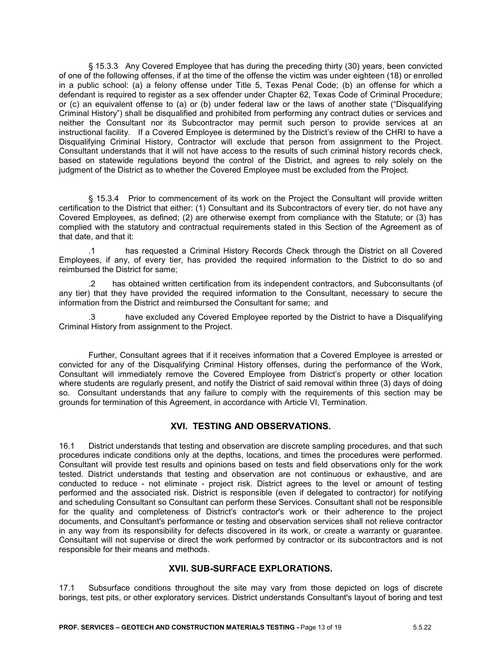§ 15.3.3 Any Covered Employee that has during the preceding thirty (30) years, been convicted of one of the following offenses, if at the time of the offense the victim was under eighteen (18) or enrolled in a public school: (a) a felony offense under Title 5, Texas Penal Code; (b) an offense for which a defendant is required to register as a sex offender under Chapter 62, Texas Code of Criminal Procedure; or (c) an equivalent offense to (a) or (b) under federal law or the laws of another state ("Disqualifying Criminal History") shall be disqualified and prohibited from performing any contract duties or services and neither the Consultant nor its Subcontractor may permit such person to provide services at an instructional facility. If a Covered Employee is determined by the District's review of the CHRI to have a Disqualifying Criminal History, Contractor will exclude that person from assignment to the Project. Consultant understands that it will not have access to the results of such criminal history records check, based on statewide regulations beyond the control of the District, and agrees to rely solely on the judgment of the District as to whether the Covered Employee must be excluded from the Project.

§ 15.3.4 Prior to commencement of its work on the Project the Consultant will provide written certification to the District that either: (1) Consultant and its Subcontractors of every tier, do not have any Covered Employees, as defined; (2) are otherwise exempt from compliance with the Statute; or (3) has complied with the statutory and contractual requirements stated in this Section of the Agreement as of that date, and that it:

.1 has requested a Criminal History Records Check through the District on all Covered Employees, if any, of every tier, has provided the required information to the District to do so and reimbursed the District for same;

.2 has obtained written certification from its independent contractors, and Subconsultants (of any tier) that they have provided the required information to the Consultant, necessary to secure the information from the District and reimbursed the Consultant for same; and

.3 have excluded any Covered Employee reported by the District to have a Disqualifying Criminal History from assignment to the Project.

Further, Consultant agrees that if it receives information that a Covered Employee is arrested or convicted for any of the Disqualifying Criminal History offenses, during the performance of the Work, Consultant will immediately remove the Covered Employee from District's property or other location where students are regularly present, and notify the District of said removal within three (3) days of doing so. Consultant understands that any failure to comply with the requirements of this section may be grounds for termination of this Agreement, in accordance with Article VI, Termination.

# **XVI. TESTING AND OBSERVATIONS.**

16.1 District understands that testing and observation are discrete sampling procedures, and that such procedures indicate conditions only at the depths, locations, and times the procedures were performed. Consultant will provide test results and opinions based on tests and field observations only for the work tested. District understands that testing and observation are not continuous or exhaustive, and are conducted to reduce - not eliminate - project risk. District agrees to the level or amount of testing performed and the associated risk. District is responsible (even if delegated to contractor) for notifying and scheduling Consultant so Consultant can perform these Services. Consultant shall not be responsible for the quality and completeness of District's contractor's work or their adherence to the project documents, and Consultant's performance or testing and observation services shall not relieve contractor in any way from its responsibility for defects discovered in its work, or create a warranty or guarantee. Consultant will not supervise or direct the work performed by contractor or its subcontractors and is not responsible for their means and methods.

### **XVII. SUB-SURFACE EXPLORATIONS.**

17.1 Subsurface conditions throughout the site may vary from those depicted on logs of discrete borings, test pits, or other exploratory services. District understands Consultant's layout of boring and test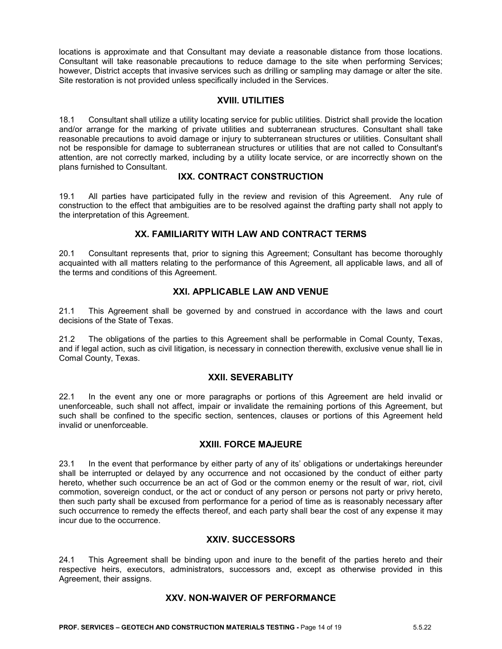locations is approximate and that Consultant may deviate a reasonable distance from those locations. Consultant will take reasonable precautions to reduce damage to the site when performing Services; however, District accepts that invasive services such as drilling or sampling may damage or alter the site. Site restoration is not provided unless specifically included in the Services.

## **XVIII. UTILITIES**

18.1 Consultant shall utilize a utility locating service for public utilities. District shall provide the location and/or arrange for the marking of private utilities and subterranean structures. Consultant shall take reasonable precautions to avoid damage or injury to subterranean structures or utilities. Consultant shall not be responsible for damage to subterranean structures or utilities that are not called to Consultant's attention, are not correctly marked, including by a utility locate service, or are incorrectly shown on the plans furnished to Consultant.

# **IXX. CONTRACT CONSTRUCTION**

19.1 All parties have participated fully in the review and revision of this Agreement. Any rule of construction to the effect that ambiguities are to be resolved against the drafting party shall not apply to the interpretation of this Agreement.

### **XX. FAMILIARITY WITH LAW AND CONTRACT TERMS**

20.1 Consultant represents that, prior to signing this Agreement; Consultant has become thoroughly acquainted with all matters relating to the performance of this Agreement, all applicable laws, and all of the terms and conditions of this Agreement.

## **XXI. APPLICABLE LAW AND VENUE**

21.1 This Agreement shall be governed by and construed in accordance with the laws and court decisions of the State of Texas.

21.2 The obligations of the parties to this Agreement shall be performable in Comal County, Texas, and if legal action, such as civil litigation, is necessary in connection therewith, exclusive venue shall lie in Comal County, Texas.

### **XXII. SEVERABLITY**

22.1 In the event any one or more paragraphs or portions of this Agreement are held invalid or unenforceable, such shall not affect, impair or invalidate the remaining portions of this Agreement, but such shall be confined to the specific section, sentences, clauses or portions of this Agreement held invalid or unenforceable.

### **XXIII. FORCE MAJEURE**

23.1 In the event that performance by either party of any of its' obligations or undertakings hereunder shall be interrupted or delayed by any occurrence and not occasioned by the conduct of either party hereto, whether such occurrence be an act of God or the common enemy or the result of war, riot, civil commotion, sovereign conduct, or the act or conduct of any person or persons not party or privy hereto, then such party shall be excused from performance for a period of time as is reasonably necessary after such occurrence to remedy the effects thereof, and each party shall bear the cost of any expense it may incur due to the occurrence.

### **XXIV. SUCCESSORS**

24.1 This Agreement shall be binding upon and inure to the benefit of the parties hereto and their respective heirs, executors, administrators, successors and, except as otherwise provided in this Agreement, their assigns.

### **XXV. NON-WAIVER OF PERFORMANCE**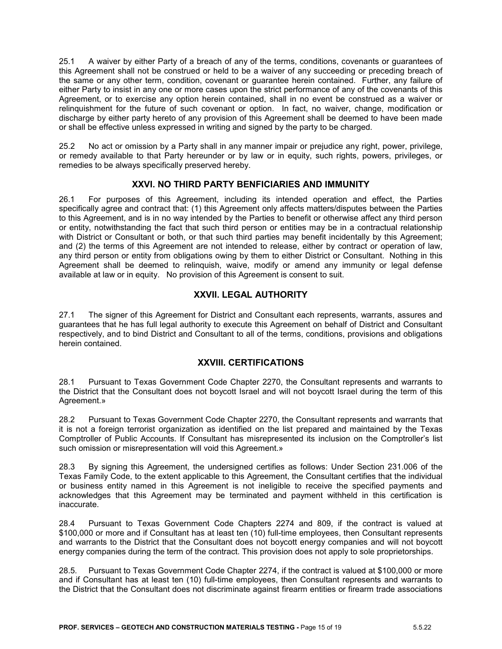25.1 A waiver by either Party of a breach of any of the terms, conditions, covenants or guarantees of this Agreement shall not be construed or held to be a waiver of any succeeding or preceding breach of the same or any other term, condition, covenant or guarantee herein contained. Further, any failure of either Party to insist in any one or more cases upon the strict performance of any of the covenants of this Agreement, or to exercise any option herein contained, shall in no event be construed as a waiver or relinquishment for the future of such covenant or option. In fact, no waiver, change, modification or discharge by either party hereto of any provision of this Agreement shall be deemed to have been made or shall be effective unless expressed in writing and signed by the party to be charged.

25.2 No act or omission by a Party shall in any manner impair or prejudice any right, power, privilege, or remedy available to that Party hereunder or by law or in equity, such rights, powers, privileges, or remedies to be always specifically preserved hereby.

## **XXVI. NO THIRD PARTY BENFICIARIES AND IMMUNITY**

26.1 For purposes of this Agreement, including its intended operation and effect, the Parties specifically agree and contract that: (1) this Agreement only affects matters/disputes between the Parties to this Agreement, and is in no way intended by the Parties to benefit or otherwise affect any third person or entity, notwithstanding the fact that such third person or entities may be in a contractual relationship with District or Consultant or both, or that such third parties may benefit incidentally by this Agreement; and (2) the terms of this Agreement are not intended to release, either by contract or operation of law, any third person or entity from obligations owing by them to either District or Consultant. Nothing in this Agreement shall be deemed to relinquish, waive, modify or amend any immunity or legal defense available at law or in equity. No provision of this Agreement is consent to suit.

# **XXVII. LEGAL AUTHORITY**

27.1 The signer of this Agreement for District and Consultant each represents, warrants, assures and guarantees that he has full legal authority to execute this Agreement on behalf of District and Consultant respectively, and to bind District and Consultant to all of the terms, conditions, provisions and obligations herein contained.

# **XXVIII. CERTIFICATIONS**

28.1 Pursuant to Texas Government Code Chapter 2270, the Consultant represents and warrants to the District that the Consultant does not boycott Israel and will not boycott Israel during the term of this Agreement.»

28.2 Pursuant to Texas Government Code Chapter 2270, the Consultant represents and warrants that it is not a foreign terrorist organization as identified on the list prepared and maintained by the Texas Comptroller of Public Accounts. If Consultant has misrepresented its inclusion on the Comptroller's list such omission or misrepresentation will void this Agreement.»

28.3 By signing this Agreement, the undersigned certifies as follows: Under Section 231.006 of the Texas Family Code, to the extent applicable to this Agreement, the Consultant certifies that the individual or business entity named in this Agreement is not ineligible to receive the specified payments and acknowledges that this Agreement may be terminated and payment withheld in this certification is inaccurate.

28.4 Pursuant to Texas Government Code Chapters 2274 and 809, if the contract is valued at \$100,000 or more and if Consultant has at least ten (10) full-time employees, then Consultant represents and warrants to the District that the Consultant does not boycott energy companies and will not boycott energy companies during the term of the contract. This provision does not apply to sole proprietorships.

28.5. Pursuant to Texas Government Code Chapter 2274, if the contract is valued at \$100,000 or more and if Consultant has at least ten (10) full-time employees, then Consultant represents and warrants to the District that the Consultant does not discriminate against firearm entities or firearm trade associations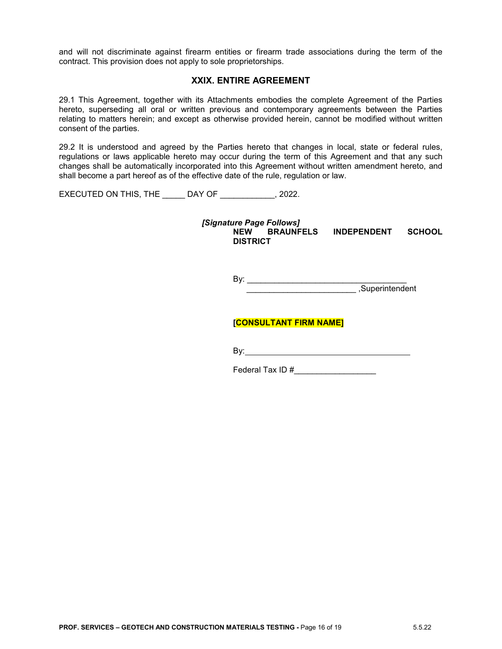and will not discriminate against firearm entities or firearm trade associations during the term of the contract. This provision does not apply to sole proprietorships.

### **XXIX. ENTIRE AGREEMENT**

29.1 This Agreement, together with its Attachments embodies the complete Agreement of the Parties hereto, superseding all oral or written previous and contemporary agreements between the Parties relating to matters herein; and except as otherwise provided herein, cannot be modified without written consent of the parties.

29.2 It is understood and agreed by the Parties hereto that changes in local, state or federal rules, regulations or laws applicable hereto may occur during the term of this Agreement and that any such changes shall be automatically incorporated into this Agreement without written amendment hereto, and shall become a part hereof as of the effective date of the rule, regulation or law.

EXECUTED ON THIS, THE DAY OF 3022.

*[Signature Page Follows]* **NEW BRAUNFELS INDEPENDENT SCHOOL DISTRICT**

> By: \_\_\_\_\_\_\_\_\_\_\_\_\_\_\_\_\_\_\_\_\_\_\_\_\_\_\_\_\_\_\_\_\_\_\_ \_\_\_\_\_\_\_\_\_\_\_\_\_\_\_\_\_\_\_\_\_\_\_\_ ,Superintendent

## **[CONSULTANT FIRM NAME]**

By:

Federal Tax ID #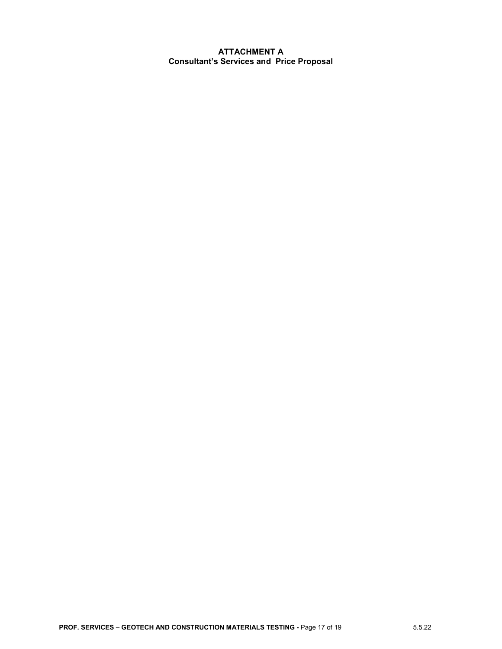### **ATTACHMENT A Consultant's Services and Price Proposal**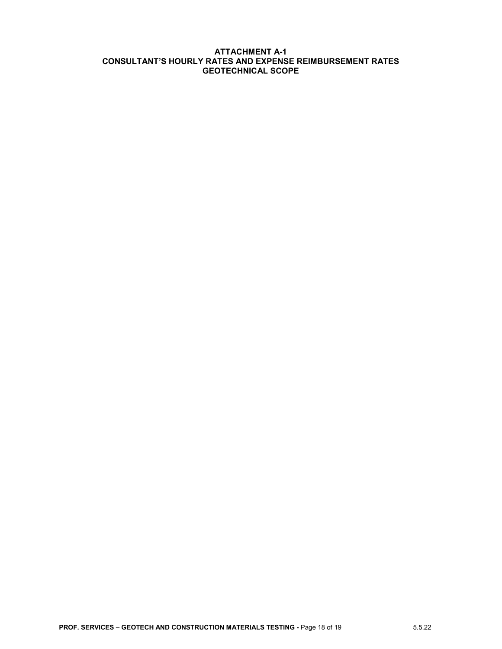#### **ATTACHMENT A-1 CONSULTANT'S HOURLY RATES AND EXPENSE REIMBURSEMENT RATES GEOTECHNICAL SCOPE**